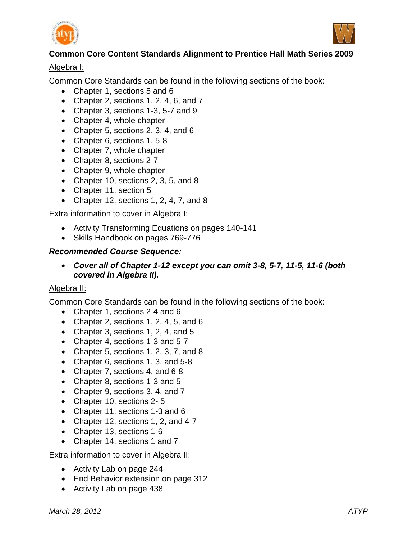



# **Common Core Content Standards Alignment to Prentice Hall Math Series 2009**

## Algebra I:

Common Core Standards can be found in the following sections of the book:

- Chapter 1, sections 5 and 6
- Chapter 2, sections 1, 2, 4, 6, and  $7$
- Chapter 3, sections 1-3, 5-7 and 9
- Chapter 4, whole chapter
- Chapter 5, sections 2, 3, 4, and 6
- Chapter 6, sections 1, 5-8
- Chapter 7, whole chapter
- Chapter 8, sections 2-7
- Chapter 9, whole chapter
- Chapter 10, sections 2, 3, 5, and 8
- Chapter 11, section 5
- Chapter 12, sections 1, 2, 4, 7, and 8

Extra information to cover in Algebra I:

- Activity Transforming Equations on pages 140-141
- Skills Handbook on pages 769-776

## *Recommended Course Sequence:*

 *Cover all of Chapter 1-12 except you can omit 3-8, 5-7, 11-5, 11-6 (both covered in Algebra II).*

## Algebra II:

Common Core Standards can be found in the following sections of the book:

- Chapter 1, sections 2-4 and 6
- Chapter 2, sections 1, 2, 4, 5, and 6
- Chapter 3, sections 1, 2, 4, and 5
- Chapter 4, sections 1-3 and 5-7
- Chapter 5, sections 1, 2, 3, 7, and 8
- Chapter 6, sections 1, 3, and 5-8
- Chapter 7, sections 4, and 6-8
- Chapter 8, sections 1-3 and 5
- Chapter 9, sections 3, 4, and 7
- Chapter 10, sections 2-5
- Chapter 11, sections 1-3 and 6
- Chapter 12, sections 1, 2, and 4-7
- Chapter 13, sections 1-6
- Chapter 14, sections 1 and 7

Extra information to cover in Algebra II:

- Activity Lab on page 244
- End Behavior extension on page 312
- Activity Lab on page 438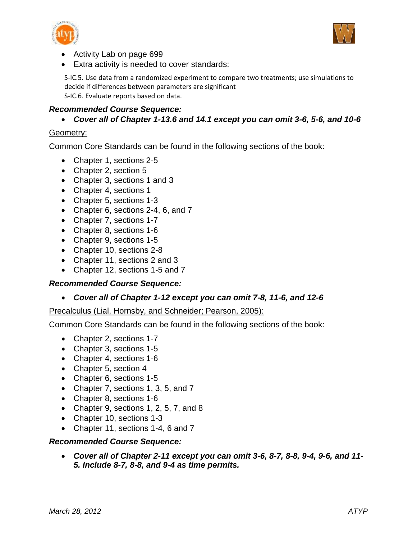



- Activity Lab on page 699
- Extra activity is needed to cover standards:

S-IC.5. Use data from a randomized experiment to compare two treatments; use simulations to decide if differences between parameters are significant S-IC.6. Evaluate reports based on data.

#### *Recommended Course Sequence:*

*Cover all of Chapter 1-13.6 and 14.1 except you can omit 3-6, 5-6, and 10-6*

#### Geometry:

Common Core Standards can be found in the following sections of the book:

- Chapter 1, sections 2-5
- Chapter 2, section 5
- Chapter 3, sections 1 and 3
- Chapter 4, sections 1
- Chapter 5, sections 1-3
- Chapter 6, sections 2-4, 6, and 7
- Chapter 7, sections 1-7
- Chapter 8, sections 1-6
- Chapter 9, sections 1-5
- Chapter 10, sections 2-8
- Chapter 11, sections 2 and 3
- Chapter 12, sections 1-5 and 7

#### *Recommended Course Sequence:*

*Cover all of Chapter 1-12 except you can omit 7-8, 11-6, and 12-6*

#### Precalculus (Lial, Hornsby, and Schneider; Pearson, 2005):

Common Core Standards can be found in the following sections of the book:

- Chapter 2, sections 1-7
- Chapter 3, sections 1-5
- Chapter 4, sections 1-6
- Chapter 5, section 4
- Chapter 6, sections 1-5
- Chapter 7, sections 1, 3, 5, and 7
- Chapter 8, sections 1-6
- Chapter 9, sections 1, 2, 5, 7, and 8
- Chapter 10, sections 1-3
- Chapter 11, sections 1-4, 6 and 7

#### *Recommended Course Sequence:*

 *Cover all of Chapter 2-11 except you can omit 3-6, 8-7, 8-8, 9-4, 9-6, and 11- 5. Include 8-7, 8-8, and 9-4 as time permits.*